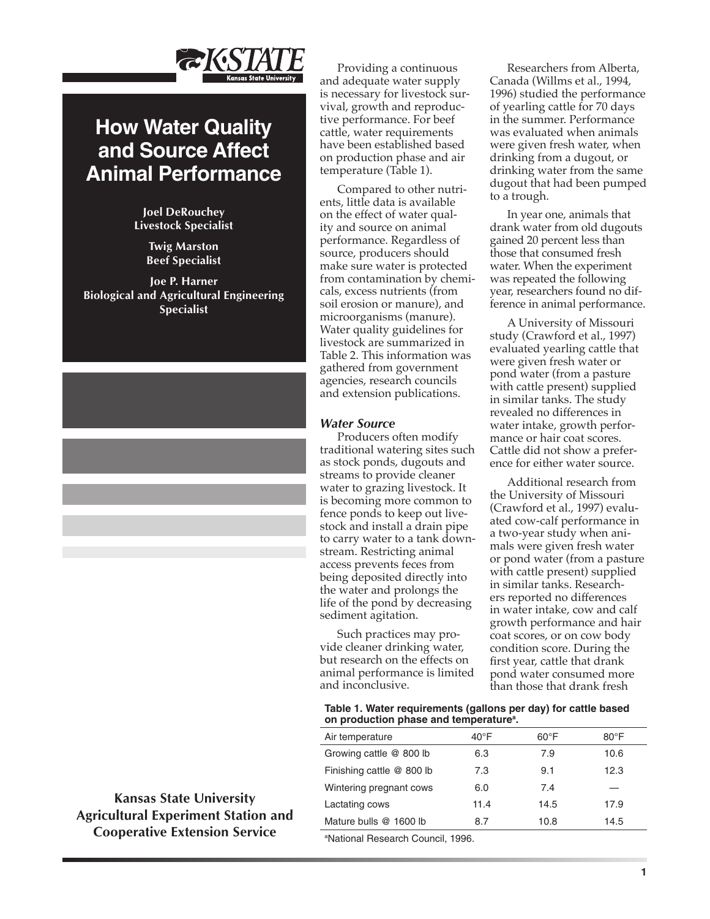

# **How Water Quality and Source Affect Animal Performance**

**Joel DeRouchey Livestock Specialist**

> **Twig Marston Beef Specialist**

**Joe P. Harner Biological and Agricultural Engineering Specialist**

**Kansas State University Agricultural Experiment Station and Cooperative Extension Service**

Providing a continuous and adequate water supply is necessary for livestock survival, growth and reproductive performance. For beef cattle, water requirements have been established based on production phase and air temperature (Table 1).

Compared to other nutrients, little data is available on the effect of water quality and source on animal performance. Regardless of source, producers should make sure water is protected from contamination by chemicals, excess nutrients (from soil erosion or manure), and microorganisms (manure). Water quality guidelines for livestock are summarized in Table 2. This information was gathered from government agencies, research councils and extension publications.

## *Water Source*

Producers often modify traditional watering sites such as stock ponds, dugouts and streams to provide cleaner water to grazing livestock. It is becoming more common to fence ponds to keep out livestock and install a drain pipe to carry water to a tank downstream. Restricting animal access prevents feces from being deposited directly into the water and prolongs the life of the pond by decreasing sediment agitation.

Such practices may provide cleaner drinking water, but research on the effects on animal performance is limited and inconclusive.

Researchers from Alberta, Canada (Willms et al., 1994, 1996) studied the performance of yearling cattle for 70 days in the summer. Performance was evaluated when animals were given fresh water, when drinking from a dugout, or drinking water from the same dugout that had been pumped to a trough.

In year one, animals that drank water from old dugouts gained 20 percent less than those that consumed fresh water. When the experiment was repeated the following year, researchers found no difference in animal performance.

A University of Missouri study (Crawford et al., 1997) evaluated yearling cattle that were given fresh water or pond water (from a pasture with cattle present) supplied in similar tanks. The study revealed no differences in water intake, growth performance or hair coat scores. Cattle did not show a preference for either water source.

Additional research from the University of Missouri (Crawford et al., 1997) evaluated cow-calf performance in a two-year study when animals were given fresh water or pond water (from a pasture with cattle present) supplied in similar tanks. Researchers reported no differences in water intake, cow and calf growth performance and hair coat scores, or on cow body condition score. During the first year, cattle that drank pond water consumed more than those that drank fresh

### **Table 1. Water requirements (gallons per day) for cattle based**  on production phase and temperature<sup>a</sup>.

| Air temperature           | $40^{\circ}$ F | $60^{\circ}$ F | $80^{\circ}$ F |
|---------------------------|----------------|----------------|----------------|
| Growing cattle @ 800 lb   | 6.3            | 7.9            | 10.6           |
| Finishing cattle @ 800 lb | 7.3            | 9.1            | 12.3           |
| Wintering pregnant cows   | 6.0            | 7.4            |                |
| Lactating cows            | 11.4           | 14.5           | 17.9           |
| Mature bulls @ 1600 lb    | 8.7            | 10.8           | 14.5           |

a National Research Council, 1996.